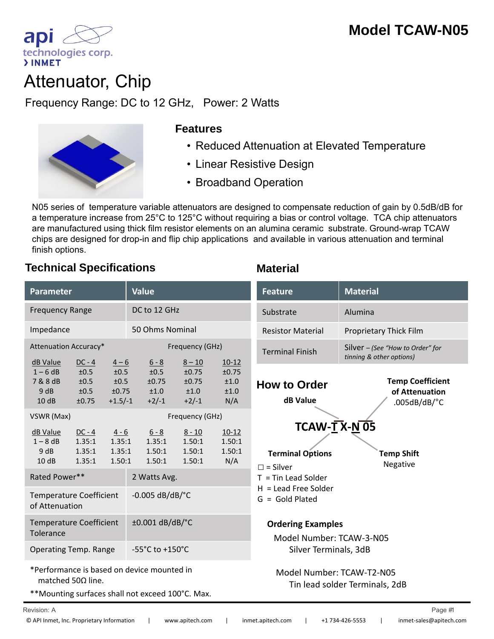

# Attenuator, Chip

Frequency Range: DC to 12 GHz, Power: 2 Watts Attenuator, Chip<br>
Frequency Range: DC to 12 GHz, Power: 2 Watts<br>
Features<br>
Features<br>
Reduced Attenuation at Elevated Temperature



#### **Features**

- 
- Linear Resistive Design
- Broadband Operation

N05 series of temperature variable attenuators are designed to compensate reduction of gain by 0.5dB/dB for a temperature increase from 25°C to 125°C without requiring a bias or control voltage. TCA chip attenuators are manufactured using thick film resistor elements on an alumina ceramic substrate. Ground-wrap TCAW chips are designed for drop-in and flip chip applications and available in various attenuation and terminal chips are designed for drop-in and flip chip applications and available in various attenuation and finish options.

### **Technical Specifications Material**

| <b>Parameter</b>                                                        |                                           |                                                       | <b>Value</b>                                |                                               |                                                             | <b>Feature</b>                                                                | <b>Material</b>                                                         |
|-------------------------------------------------------------------------|-------------------------------------------|-------------------------------------------------------|---------------------------------------------|-----------------------------------------------|-------------------------------------------------------------|-------------------------------------------------------------------------------|-------------------------------------------------------------------------|
| <b>Frequency Range</b>                                                  |                                           |                                                       | DC to 12 GHz                                |                                               |                                                             | Substrate                                                                     | Alumina                                                                 |
| Impedance                                                               |                                           |                                                       | 50 Ohms Nominal                             |                                               |                                                             | <b>Resistor Material</b>                                                      | Proprietary Thick Film                                                  |
| Attenuation Accuracy*                                                   |                                           |                                                       | Frequency (GHz)                             |                                               |                                                             | <b>Terminal Finish</b>                                                        | Silver - (See "How to Order" for<br>tinning & other options)            |
| dB Value<br>$1 - 6$ dB<br>7 & 8 dB<br>9dB<br>10dB                       | $DC - 4$<br>±0.5<br>±0.5<br>±0.5<br>±0.75 | $\frac{4-6}{6}$<br>±0.5<br>±0.5<br>±0.75<br>$+1.5/-1$ | $6 - 8$<br>±0.5<br>±0.75<br>±1.0<br>$+2/-1$ | $8 - 10$<br>±0.75<br>±0.75<br>±1.0<br>$+2/-1$ | $10-12$<br>±0.75<br>±1.0<br>±1.0<br>N/A                     | <b>How to Order</b><br>dB Value                                               | <b>Temp Coefficient</b><br>of Attenuation<br>$.005dB/dB$ <sup>o</sup> C |
| VSWR (Max)                                                              |                                           |                                                       |                                             | Frequency (GHz)                               |                                                             |                                                                               |                                                                         |
| dB Value<br>$1 - 8$ dB<br>9 dB<br>10dB                                  | $DC - 4$<br>1.35:1<br>1.35:1<br>1.35:1    | $4 - 6$<br>1.35:1<br>1.35:1<br>1.50:1                 | $6 - 8$<br>1.35:1<br>1.50:1<br>1.50:1       | $8 - 10$<br>1.50:1<br>1.50:1<br>1.50:1        | $10-12$<br>1.50:1<br>1.50:1<br>N/A                          | $TCAW-TX-N$ 05<br><b>Terminal Options</b><br>$\square$ = Silver               | <b>Temp Shift</b><br>Negative                                           |
| Rated Power**                                                           |                                           |                                                       | 2 Watts Avg.                                |                                               |                                                             | $T =$ Tin Lead Solder<br>$H =$ Lead Free Solder<br>$G = Gold Plated$          |                                                                         |
| <b>Temperature Coefficient</b><br>of Attenuation                        |                                           |                                                       | $-0.005$ dB/dB/ $^{\circ}$ C                |                                               |                                                             |                                                                               |                                                                         |
| <b>Temperature Coefficient</b><br>Tolerance                             |                                           |                                                       | ±0.001 dB/dB/°C                             |                                               |                                                             | <b>Ordering Examples</b><br>Model Number: TCAW-3-N05<br>Silver Terminals, 3dB |                                                                         |
| <b>Operating Temp. Range</b>                                            |                                           |                                                       | -55°C to +150°C                             |                                               |                                                             |                                                                               |                                                                         |
| *Performance is based on device mounted in<br>matched 50 $\Omega$ line. |                                           |                                                       |                                             |                                               | Model Number: TCAW-T2-N05<br>Tin lead solder Terminals, 2dB |                                                                               |                                                                         |

\*\*Mounting surfaces shall not exceed 100°C. Max.